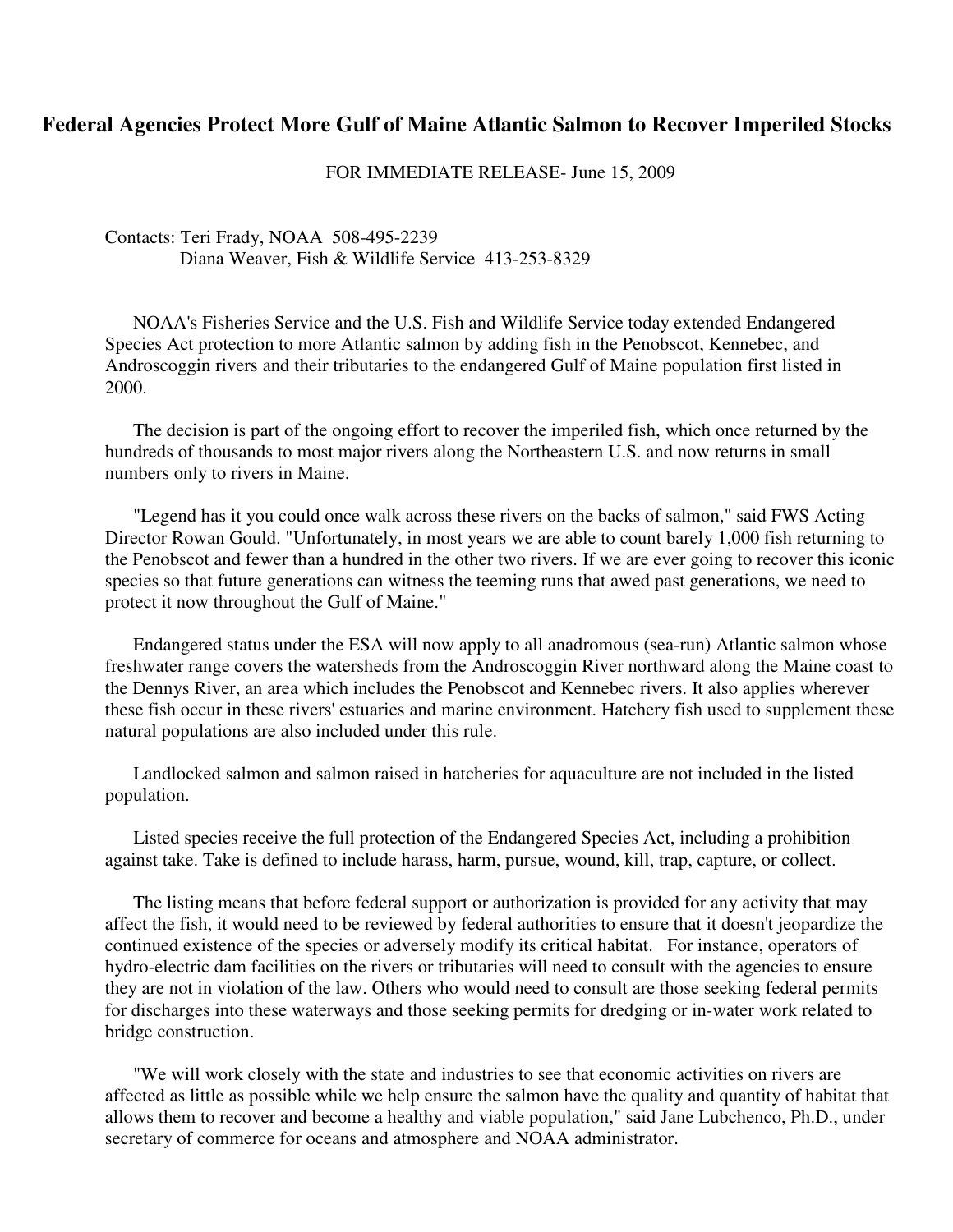## **Federal Agencies Protect More Gulf of Maine Atlantic Salmon to Recover Imperiled Stocks**

FOR IMMEDIATE RELEASE- June 15, 2009

Contacts: Teri Frady, NOAA 508-495-2239 Diana Weaver, Fish & Wildlife Service 413-253-8329

 NOAA's Fisheries Service and the U.S. Fish and Wildlife Service today extended Endangered Species Act protection to more Atlantic salmon by adding fish in the Penobscot, Kennebec, and Androscoggin rivers and their tributaries to the endangered Gulf of Maine population first listed in 2000.

 The decision is part of the ongoing effort to recover the imperiled fish, which once returned by the hundreds of thousands to most major rivers along the Northeastern U.S. and now returns in small numbers only to rivers in Maine.

 "Legend has it you could once walk across these rivers on the backs of salmon," said FWS Acting Director Rowan Gould. "Unfortunately, in most years we are able to count barely 1,000 fish returning to the Penobscot and fewer than a hundred in the other two rivers. If we are ever going to recover this iconic species so that future generations can witness the teeming runs that awed past generations, we need to protect it now throughout the Gulf of Maine."

 Endangered status under the ESA will now apply to all anadromous (sea-run) Atlantic salmon whose freshwater range covers the watersheds from the Androscoggin River northward along the Maine coast to the Dennys River, an area which includes the Penobscot and Kennebec rivers. It also applies wherever these fish occur in these rivers' estuaries and marine environment. Hatchery fish used to supplement these natural populations are also included under this rule.

 Landlocked salmon and salmon raised in hatcheries for aquaculture are not included in the listed population.

 Listed species receive the full protection of the Endangered Species Act, including a prohibition against take. Take is defined to include harass, harm, pursue, wound, kill, trap, capture, or collect.

 The listing means that before federal support or authorization is provided for any activity that may affect the fish, it would need to be reviewed by federal authorities to ensure that it doesn't jeopardize the continued existence of the species or adversely modify its critical habitat. For instance, operators of hydro-electric dam facilities on the rivers or tributaries will need to consult with the agencies to ensure they are not in violation of the law. Others who would need to consult are those seeking federal permits for discharges into these waterways and those seeking permits for dredging or in-water work related to bridge construction.

 "We will work closely with the state and industries to see that economic activities on rivers are affected as little as possible while we help ensure the salmon have the quality and quantity of habitat that allows them to recover and become a healthy and viable population," said Jane Lubchenco, Ph.D., under secretary of commerce for oceans and atmosphere and NOAA administrator.